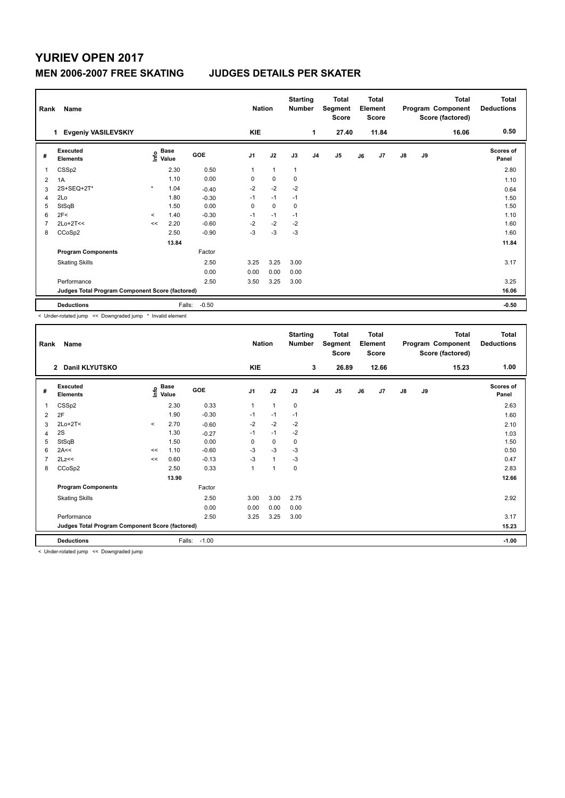## **YURIEV OPEN 2017**

## **MEN 2006-2007 FREE SKATING JUDGES DETAILS PER SKATER**

| Rank | Name                                            |         |               |         | <b>Nation</b>  |              | <b>Starting</b><br><b>Number</b> |                | Total<br>Segment<br><b>Score</b> |    | <b>Total</b><br>Element<br><b>Score</b> |               |    | <b>Total</b><br>Program Component<br>Score (factored) | <b>Total</b><br><b>Deductions</b> |
|------|-------------------------------------------------|---------|---------------|---------|----------------|--------------|----------------------------------|----------------|----------------------------------|----|-----------------------------------------|---------------|----|-------------------------------------------------------|-----------------------------------|
|      | <b>Evgeniy VASILEVSKIY</b><br>1                 |         |               |         | <b>KIE</b>     |              |                                  | 1              | 27.40                            |    | 11.84                                   |               |    | 16.06                                                 | 0.50                              |
| #    | Executed<br><b>Elements</b>                     | lnfo    | Base<br>Value | GOE     | J <sub>1</sub> | J2           | J3                               | J <sub>4</sub> | J <sub>5</sub>                   | J6 | J7                                      | $\mathsf{J}8$ | J9 |                                                       | Scores of<br>Panel                |
| 1    | CSS <sub>p2</sub>                               |         | 2.30          | 0.50    | 1              | $\mathbf{1}$ | $\overline{1}$                   |                |                                  |    |                                         |               |    |                                                       | 2.80                              |
| 2    | 1A                                              |         | 1.10          | 0.00    | 0              | $\pmb{0}$    | $\pmb{0}$                        |                |                                  |    |                                         |               |    |                                                       | 1.10                              |
| 3    | 2S+SEQ+2T*                                      | $\star$ | 1.04          | $-0.40$ | $-2$           | $-2$         | $-2$                             |                |                                  |    |                                         |               |    |                                                       | 0.64                              |
| 4    | 2Lo                                             |         | 1.80          | $-0.30$ | $-1$           | $-1$         | $-1$                             |                |                                  |    |                                         |               |    |                                                       | 1.50                              |
| 5    | StSqB                                           |         | 1.50          | 0.00    | 0              | 0            | 0                                |                |                                  |    |                                         |               |    |                                                       | 1.50                              |
| 6    | 2F<                                             | $\prec$ | 1.40          | $-0.30$ | $-1$           | $-1$         | $-1$                             |                |                                  |    |                                         |               |    |                                                       | 1.10                              |
|      | $2Lo+2T<<$                                      | <<      | 2.20          | $-0.60$ | $-2$           | $-2$         | $-2$                             |                |                                  |    |                                         |               |    |                                                       | 1.60                              |
| 8    | CCoSp2                                          |         | 2.50          | $-0.90$ | $-3$           | $-3$         | $-3$                             |                |                                  |    |                                         |               |    |                                                       | 1.60                              |
|      |                                                 |         | 13.84         |         |                |              |                                  |                |                                  |    |                                         |               |    |                                                       | 11.84                             |
|      | <b>Program Components</b>                       |         |               | Factor  |                |              |                                  |                |                                  |    |                                         |               |    |                                                       |                                   |
|      | <b>Skating Skills</b>                           |         |               | 2.50    | 3.25           | 3.25         | 3.00                             |                |                                  |    |                                         |               |    |                                                       | 3.17                              |
|      |                                                 |         |               | 0.00    | 0.00           | 0.00         | 0.00                             |                |                                  |    |                                         |               |    |                                                       |                                   |
|      | Performance                                     |         |               | 2.50    | 3.50           | 3.25         | 3.00                             |                |                                  |    |                                         |               |    |                                                       | 3.25                              |
|      | Judges Total Program Component Score (factored) |         |               |         |                |              |                                  |                |                                  |    |                                         |               |    |                                                       | 16.06                             |
|      | <b>Deductions</b>                               |         | Falls:        | $-0.50$ |                |              |                                  |                |                                  |    |                                         |               |    |                                                       | $-0.50$                           |

< Under-rotated jump << Downgraded jump \* Invalid element

| Rank | Name                                            |         |                                  |         | <b>Nation</b>  |              | <b>Starting</b><br>Number |    | <b>Total</b><br>Segment<br>Score |    | <b>Total</b><br>Element<br><b>Score</b> |               |    | <b>Total</b><br>Program Component<br>Score (factored) | <b>Total</b><br><b>Deductions</b> |
|------|-------------------------------------------------|---------|----------------------------------|---------|----------------|--------------|---------------------------|----|----------------------------------|----|-----------------------------------------|---------------|----|-------------------------------------------------------|-----------------------------------|
|      | 2 Danil KLYUTSKO                                |         |                                  |         | <b>KIE</b>     |              |                           | 3  | 26.89                            |    | 12.66                                   |               |    | 15.23                                                 | 1.00                              |
| #    | Executed<br><b>Elements</b>                     |         | <b>Base</b><br>e Base<br>⊆ Value | GOE     | J <sub>1</sub> | J2           | J3                        | J4 | J5                               | J6 | J <sub>7</sub>                          | $\mathsf{J}8$ | J9 |                                                       | <b>Scores of</b><br>Panel         |
| 1    | CSSp2                                           |         | 2.30                             | 0.33    | 1              | 1            | 0                         |    |                                  |    |                                         |               |    |                                                       | 2.63                              |
| 2    | 2F                                              |         | 1.90                             | $-0.30$ | $-1$           | $-1$         | $-1$                      |    |                                  |    |                                         |               |    |                                                       | 1.60                              |
| 3    | $2Lo+2T<$                                       | $\prec$ | 2.70                             | $-0.60$ | $-2$           | $-2$         | $-2$                      |    |                                  |    |                                         |               |    |                                                       | 2.10                              |
| 4    | 2S                                              |         | 1.30                             | $-0.27$ | $-1$           | $-1$         | $-2$                      |    |                                  |    |                                         |               |    |                                                       | 1.03                              |
| 5    | StSqB                                           |         | 1.50                             | 0.00    | 0              | 0            | 0                         |    |                                  |    |                                         |               |    |                                                       | 1.50                              |
| 6    | 2A<<                                            | <<      | 1.10                             | $-0.60$ | -3             | $-3$         | -3                        |    |                                  |    |                                         |               |    |                                                       | 0.50                              |
| 7    | 2Lz<<                                           | <<      | 0.60                             | $-0.13$ | $-3$           | $\mathbf{1}$ | -3                        |    |                                  |    |                                         |               |    |                                                       | 0.47                              |
| 8    | CCoSp2                                          |         | 2.50                             | 0.33    |                |              | 0                         |    |                                  |    |                                         |               |    |                                                       | 2.83                              |
|      |                                                 |         | 13.90                            |         |                |              |                           |    |                                  |    |                                         |               |    |                                                       | 12.66                             |
|      | <b>Program Components</b>                       |         |                                  | Factor  |                |              |                           |    |                                  |    |                                         |               |    |                                                       |                                   |
|      | <b>Skating Skills</b>                           |         |                                  | 2.50    | 3.00           | 3.00         | 2.75                      |    |                                  |    |                                         |               |    |                                                       | 2.92                              |
|      |                                                 |         |                                  | 0.00    | 0.00           | 0.00         | 0.00                      |    |                                  |    |                                         |               |    |                                                       |                                   |
|      | Performance                                     |         |                                  | 2.50    | 3.25           | 3.25         | 3.00                      |    |                                  |    |                                         |               |    |                                                       | 3.17                              |
|      | Judges Total Program Component Score (factored) |         |                                  |         |                |              |                           |    |                                  |    |                                         |               |    |                                                       | 15.23                             |
|      | <b>Deductions</b>                               |         | Falls:                           | $-1.00$ |                |              |                           |    |                                  |    |                                         |               |    |                                                       | $-1.00$                           |
|      |                                                 |         |                                  |         |                |              |                           |    |                                  |    |                                         |               |    |                                                       |                                   |

< Under-rotated jump << Downgraded jump